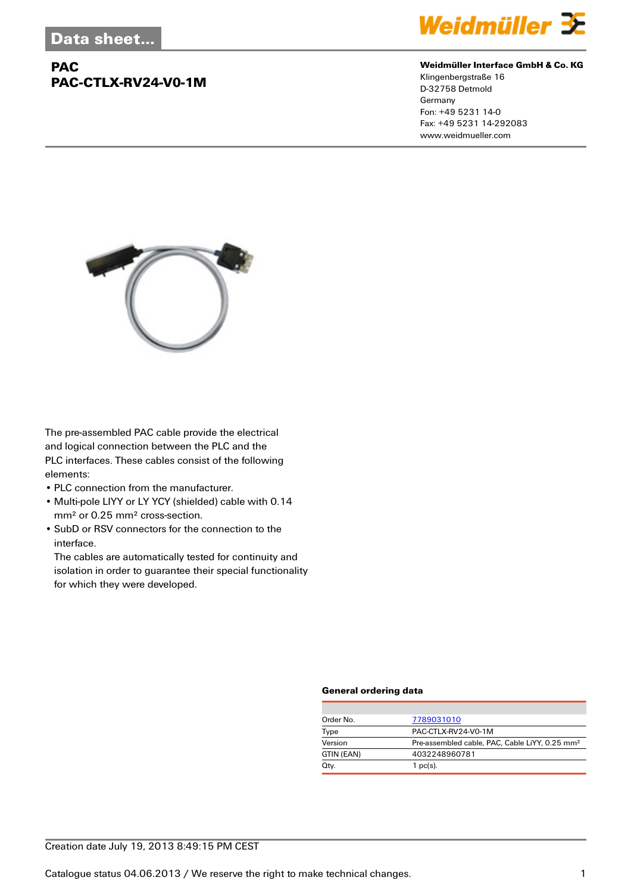## **PAC PAC-CTLX-RV24-V0-1M**



#### **Weidmüller Interface GmbH & Co. KG**

Klingenbergstraße 16 D-32758 Detmold Germany Fon: +49 5231 14-0 Fax: +49 5231 14-292083 www.weidmueller.com



The pre-assembled PAC cable provide the electrical and logical connection between the PLC and the PLC interfaces. These cables consist of the following elements:

- PLC connection from the manufacturer.
- Multi-pole LIYY or LY YCY (shielded) cable with 0.14 mm² or 0.25 mm² cross-section.
- SubD or RSV connectors for the connection to the interface.

The cables are automatically tested for continuity and isolation in order to guarantee their special functionality for which they were developed.

#### **General ordering data**

| Order No.  | 7789031010                                                 |  |
|------------|------------------------------------------------------------|--|
| Type       | PAC-CTLX-RV24-V0-1M                                        |  |
| Version    | Pre-assembled cable, PAC, Cable LiYY, 0.25 mm <sup>2</sup> |  |
| GTIN (EAN) | 4032248960781                                              |  |
| Qty.       | $1$ pc(s).                                                 |  |